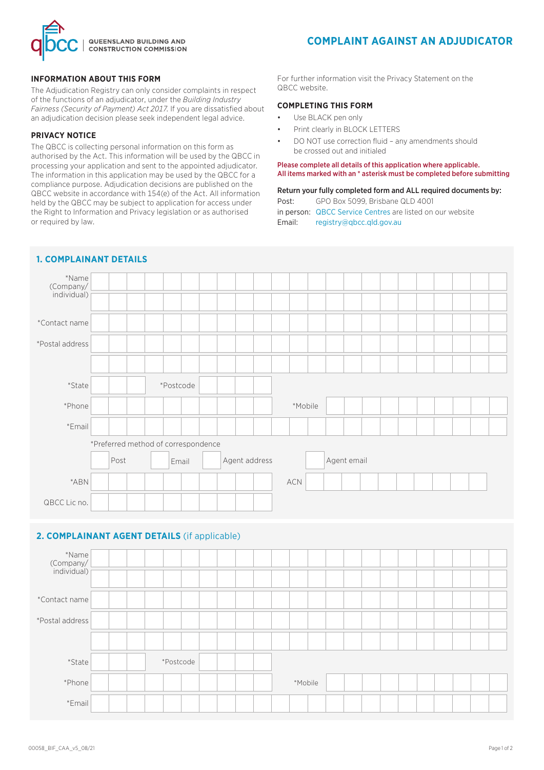

### **INFORMATION ABOUT THIS FORM**

The Adjudication Registry can only consider complaints in respect of the functions of an adjudicator, under the *Building Industry Fairness (Security of Payment) Act 2017*. If you are dissatisfied about an adjudication decision please seek independent legal advice.

## **PRIVACY NOTICE**

The QBCC is collecting personal information on this form as authorised by the Act. This information will be used by the QBCC in processing your application and sent to the appointed adjudicator. The information in this application may be used by the QBCC for a compliance purpose. Adjudication decisions are published on the QBCC website in accordance with 154(e) of the Act. All information held by the QBCC may be subject to application for access under the Right to Information and Privacy legislation or as authorised or required by law.

For further information visit the Privacy Statement on the QBCC website.

## **COMPLETING THIS FORM**

- Use BLACK pen only
- Print clearly in BLOCK LETTERS
- DO NOT use correction fluid any amendments should be crossed out and initialed

#### Please complete all details of this application where applicable. All items marked with an \* asterisk must be completed before submitting

# Return your fully completed form and ALL required documents by:

Post: GPO Box 5099, Brisbane QLD 4001 in person: [QBCC Service Centres](www.qbcc.qld.gov.au/locate-office) are listed on our website Email: registry@qbcc.qld.gov.au

| *Name<br>(Company/<br>individual) |                                              |                                               |  |  |           |  |  |  |  |  |  |         |  |  |  |  |  |  |  |  |
|-----------------------------------|----------------------------------------------|-----------------------------------------------|--|--|-----------|--|--|--|--|--|--|---------|--|--|--|--|--|--|--|--|
| *Contact name                     |                                              |                                               |  |  |           |  |  |  |  |  |  |         |  |  |  |  |  |  |  |  |
| *Postal address                   |                                              |                                               |  |  |           |  |  |  |  |  |  |         |  |  |  |  |  |  |  |  |
|                                   |                                              |                                               |  |  |           |  |  |  |  |  |  |         |  |  |  |  |  |  |  |  |
| *State                            |                                              | *Postcode                                     |  |  |           |  |  |  |  |  |  |         |  |  |  |  |  |  |  |  |
| *Phone                            | *Mobile                                      |                                               |  |  |           |  |  |  |  |  |  |         |  |  |  |  |  |  |  |  |
| *Email                            |                                              |                                               |  |  |           |  |  |  |  |  |  |         |  |  |  |  |  |  |  |  |
|                                   | *Preferred method of correspondence          |                                               |  |  |           |  |  |  |  |  |  |         |  |  |  |  |  |  |  |  |
|                                   |                                              | Agent address<br>Agent email<br>Post<br>Email |  |  |           |  |  |  |  |  |  |         |  |  |  |  |  |  |  |  |
| *ABN                              |                                              |                                               |  |  |           |  |  |  |  |  |  | ACN     |  |  |  |  |  |  |  |  |
| QBCC Lic no.                      |                                              |                                               |  |  |           |  |  |  |  |  |  |         |  |  |  |  |  |  |  |  |
|                                   |                                              |                                               |  |  |           |  |  |  |  |  |  |         |  |  |  |  |  |  |  |  |
|                                   | 2. COMPLAINANT AGENT DETAILS (if applicable) |                                               |  |  |           |  |  |  |  |  |  |         |  |  |  |  |  |  |  |  |
| *Name<br>(Company/                |                                              |                                               |  |  |           |  |  |  |  |  |  |         |  |  |  |  |  |  |  |  |
| individual)                       |                                              |                                               |  |  |           |  |  |  |  |  |  |         |  |  |  |  |  |  |  |  |
| *Contact name                     |                                              |                                               |  |  |           |  |  |  |  |  |  |         |  |  |  |  |  |  |  |  |
| *Postal address                   |                                              |                                               |  |  |           |  |  |  |  |  |  |         |  |  |  |  |  |  |  |  |
|                                   |                                              |                                               |  |  |           |  |  |  |  |  |  |         |  |  |  |  |  |  |  |  |
| *State                            |                                              |                                               |  |  | *Postcode |  |  |  |  |  |  |         |  |  |  |  |  |  |  |  |
| *Phone                            |                                              |                                               |  |  |           |  |  |  |  |  |  | *Mobile |  |  |  |  |  |  |  |  |
| *Email                            |                                              |                                               |  |  |           |  |  |  |  |  |  |         |  |  |  |  |  |  |  |  |

## **1. COMPLAINANT DETAILS**